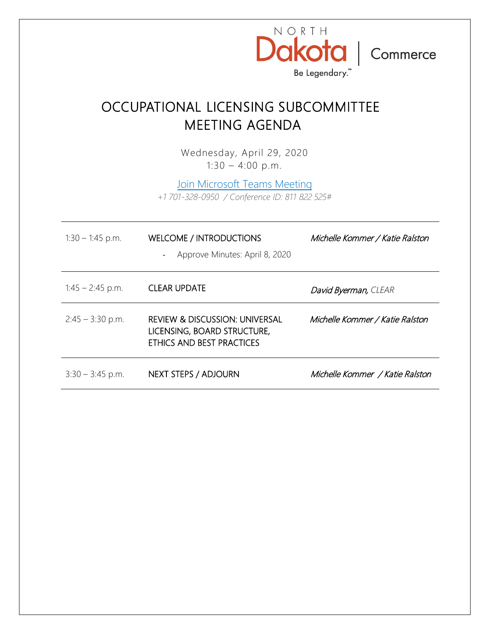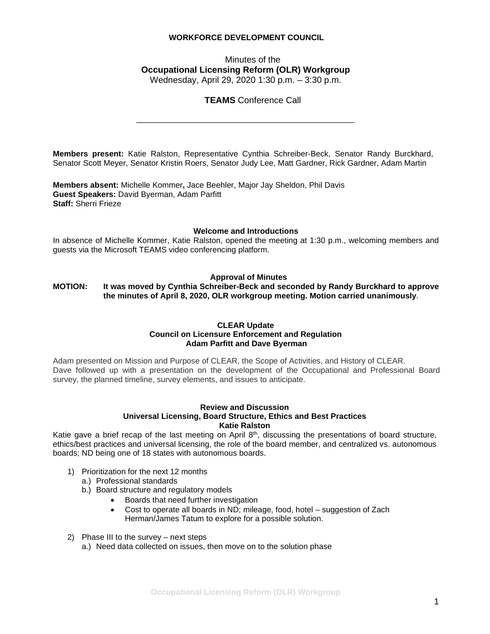## **WORKFORCE DEVELOPMENT COUNCIL**

## Minutes of the **Occupational Licensing Reform (OLR) Workgroup** Wednesday, April 29, 2020 1:30 p.m. – 3:30 p.m.

\_\_\_\_\_\_\_\_\_\_\_\_\_\_\_\_\_\_\_\_\_\_\_\_\_\_\_\_\_\_\_\_\_\_\_\_\_\_\_\_\_\_\_\_\_\_\_\_\_

### **TEAMS** Conference Call

**Members present:** Katie Ralston, Representative Cynthia Schreiber-Beck, Senator Randy Burckhard, Senator Scott Meyer, Senator Kristin Roers, Senator Judy Lee, Matt Gardner, Rick Gardner, Adam Martin

**Members absent:** Michelle Kommer**,** Jace Beehler, Major Jay Sheldon, Phil Davis **Guest Speakers:** David Byerman, Adam Parfitt **Staff:** Sherri Frieze

#### **Welcome and Introductions**

In absence of Michelle Kommer, Katie Ralston, opened the meeting at 1:30 p.m., welcoming members and guests via the Microsoft TEAMS video conferencing platform.

#### **Approval of Minutes**

**MOTION: It was moved by Cynthia Schreiber-Beck and seconded by Randy Burckhard to approve the minutes of April 8, 2020, OLR workgroup meeting. Motion carried unanimously**.

#### **CLEAR Update Council on Licensure Enforcement and Regulation Adam Parfitt and Dave Byerman**

Adam presented on Mission and Purpose of CLEAR, the Scope of Activities, and History of CLEAR. Dave followed up with a presentation on the development of the Occupational and Professional Board survey, the planned timeline, survey elements, and issues to anticipate.

#### **Review and Discussion Universal Licensing, Board Structure, Ethics and Best Practices Katie Ralston**

Katie gave a brief recap of the last meeting on April 8<sup>th</sup>, discussing the presentations of board structure, ethics/best practices and universal licensing, the role of the board member, and centralized vs. autonomous boards; ND being one of 18 states with autonomous boards.

- 1) Prioritization for the next 12 months
	- a.) Professional standards
	- b.) Board structure and regulatory models
		- Boards that need further investigation
		- Cost to operate all boards in ND; mileage, food, hotel suggestion of Zach Herman/James Tatum to explore for a possible solution.
- 2) Phase III to the survey next steps
	- a.) Need data collected on issues, then move on to the solution phase